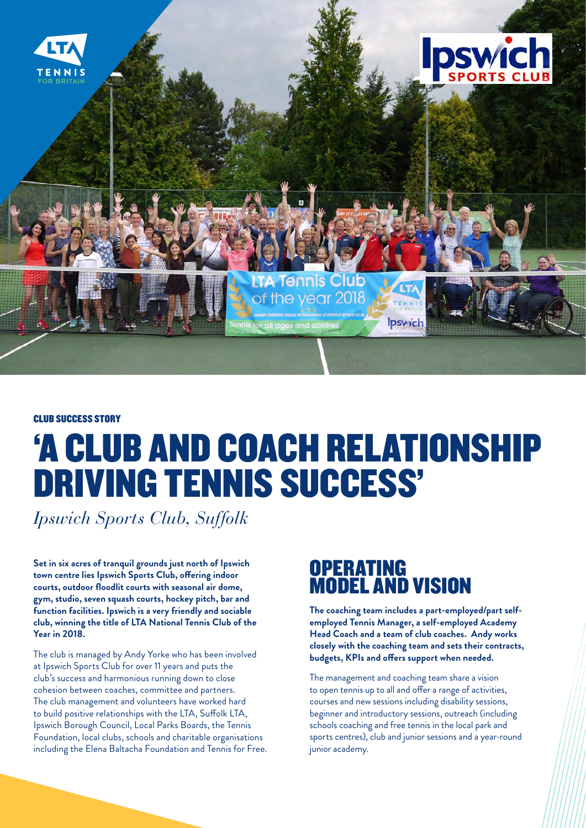

#### CLUB SUCCESS STORY

# 'A CLUB AND COACH RELATIONSHIP DRIVING TENNIS SUCCESS'

*Ipswich Sports Club, Suffolk*

**Set in six acres of tranquil grounds just north of Ipswich town centre lies Ipswich Sports Club, offering indoor courts, outdoor floodlit courts with seasonal air dome, gym, studio, seven squash courts, hockey pitch, bar and function facilities. Ipswich is a very friendly and sociable club, winning the title of LTA National Tennis Club of the Year in 2018.**

The club is managed by Andy Yorke who has been involved at Ipswich Sports Club for over 11 years and puts the club's success and harmonious running down to close cohesion between coaches, committee and partners. The club management and volunteers have worked hard to build positive relationships with the LTA, Suffolk LTA, Ipswich Borough Council, Local Parks Boards, the Tennis Foundation, local clubs, schools and charitable organisations including the Elena Baltacha Foundation and Tennis for Free.

#### **OPERATING** MODEL AND VISION

**The coaching team includes a part-employed/part selfemployed Tennis Manager, a self-employed Academy Head Coach and a team of club coaches. Andy works closely with the coaching team and sets their contracts, budgets, KPIs and offers support when needed.** 

The management and coaching team share a vision to open tennis up to all and offer a range of activities, courses and new sessions including disability sessions, beginner and introductory sessions, outreach (including schools coaching and free tennis in the local park and sports centres), club and junior sessions and a year-round junior academy.